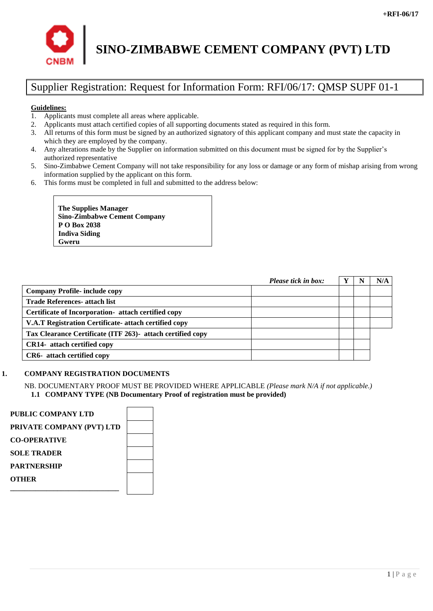

# **SINO-ZIMBABWE CEMENT COMPANY (PVT) LTD**

# Supplier Registration: Request for Information Form: RFI/06/17: QMSP SUPF 01-1

#### **Guidelines:**

- 1. Applicants must complete all areas where applicable.
- 2. Applicants must attach certified copies of all supporting documents stated as required in this form.
- 3. All returns of this form must be signed by an authorized signatory of this applicant company and must state the capacity in which they are employed by the company.
- 4. Any alterations made by the Supplier on information submitted on this document must be signed for by the Supplier's authorized representative
- 5. Sino-Zimbabwe Cement Company will not take responsibility for any loss or damage or any form of mishap arising from wrong information supplied by the applicant on this form.
- 6. This forms must be completed in full and submitted to the address below:

**The Supplies Manager Sino-Zimbabwe Cement Company P O Box 2038 Indiva Siding Gweru**

|                                                            | Please tick in box: |  | N/A |
|------------------------------------------------------------|---------------------|--|-----|
| <b>Company Profile- include copy</b>                       |                     |  |     |
| <b>Trade References- attach list</b>                       |                     |  |     |
| Certificate of Incorporation- attach certified copy        |                     |  |     |
| V.A.T Registration Certificate- attach certified copy      |                     |  |     |
| Tax Clearance Certificate (ITF 263)- attach certified copy |                     |  |     |
| <b>CR14-</b> attach certified copy                         |                     |  |     |
| CR6- attach certified copy                                 |                     |  |     |

#### **1. COMPANY REGISTRATION DOCUMENTS**

NB. DOCUMENTARY PROOF MUST BE PROVIDED WHERE APPLICABLE *(Please mark N/A if not applicable.)* **1.1 COMPANY TYPE (NB Documentary Proof of registration must be provided)**

| PUBLIC COMPANY LTD        |  |
|---------------------------|--|
| PRIVATE COMPANY (PVT) LTD |  |
| <b>CO-OPERATIVE</b>       |  |
| <b>SOLE TRADER</b>        |  |
| <b>PARTNERSHIP</b>        |  |
| OTHER                     |  |
|                           |  |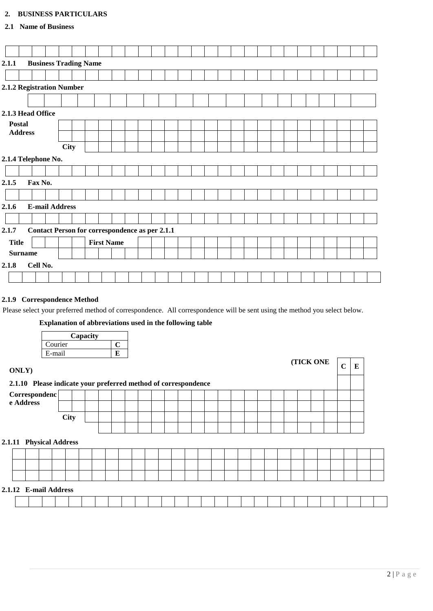### **2. BUSINESS PARTICULARS**

#### **2.1 Name of Business**

| 2.1.1                     | <b>Business Trading Name</b>                          |             |  |                   |  |  |  |  |  |  |  |  |  |  |  |  |  |  |  |
|---------------------------|-------------------------------------------------------|-------------|--|-------------------|--|--|--|--|--|--|--|--|--|--|--|--|--|--|--|
|                           |                                                       |             |  |                   |  |  |  |  |  |  |  |  |  |  |  |  |  |  |  |
|                           |                                                       |             |  |                   |  |  |  |  |  |  |  |  |  |  |  |  |  |  |  |
|                           |                                                       |             |  |                   |  |  |  |  |  |  |  |  |  |  |  |  |  |  |  |
| 2.1.2 Registration Number |                                                       |             |  |                   |  |  |  |  |  |  |  |  |  |  |  |  |  |  |  |
|                           |                                                       |             |  |                   |  |  |  |  |  |  |  |  |  |  |  |  |  |  |  |
|                           | 2.1.3 Head Office                                     |             |  |                   |  |  |  |  |  |  |  |  |  |  |  |  |  |  |  |
| <b>Postal</b>             |                                                       |             |  |                   |  |  |  |  |  |  |  |  |  |  |  |  |  |  |  |
| <b>Address</b>            |                                                       |             |  |                   |  |  |  |  |  |  |  |  |  |  |  |  |  |  |  |
|                           |                                                       |             |  |                   |  |  |  |  |  |  |  |  |  |  |  |  |  |  |  |
|                           |                                                       | <b>City</b> |  |                   |  |  |  |  |  |  |  |  |  |  |  |  |  |  |  |
| 2.1.4 Telephone No.       |                                                       |             |  |                   |  |  |  |  |  |  |  |  |  |  |  |  |  |  |  |
|                           |                                                       |             |  |                   |  |  |  |  |  |  |  |  |  |  |  |  |  |  |  |
| Fax No.<br>2.1.5          |                                                       |             |  |                   |  |  |  |  |  |  |  |  |  |  |  |  |  |  |  |
|                           |                                                       |             |  |                   |  |  |  |  |  |  |  |  |  |  |  |  |  |  |  |
| 2.1.6                     | <b>E-mail Address</b>                                 |             |  |                   |  |  |  |  |  |  |  |  |  |  |  |  |  |  |  |
|                           |                                                       |             |  |                   |  |  |  |  |  |  |  |  |  |  |  |  |  |  |  |
| 2.1.7                     | <b>Contact Person for correspondence as per 2.1.1</b> |             |  |                   |  |  |  |  |  |  |  |  |  |  |  |  |  |  |  |
| <b>Title</b>              |                                                       |             |  | <b>First Name</b> |  |  |  |  |  |  |  |  |  |  |  |  |  |  |  |
| <b>Surname</b>            |                                                       |             |  |                   |  |  |  |  |  |  |  |  |  |  |  |  |  |  |  |
| Cell No.<br>2.1.8         |                                                       |             |  |                   |  |  |  |  |  |  |  |  |  |  |  |  |  |  |  |
|                           |                                                       |             |  |                   |  |  |  |  |  |  |  |  |  |  |  |  |  |  |  |

#### **2.1.9 Correspondence Method**

Please select your preferred method of correspondence. All correspondence will be sent using the method you select below.

## **Explanation of abbreviations used in the following table**

| Capacity |  |  |  |  |  |  |  |  |
|----------|--|--|--|--|--|--|--|--|
| Courier  |  |  |  |  |  |  |  |  |
| E-mail   |  |  |  |  |  |  |  |  |

| <b>ONLY</b> )                                                  |             |  |  |  |  |  |  |  |  |  | <b>(TICK ONE)</b> | $\mathbf C$ | E |  |
|----------------------------------------------------------------|-------------|--|--|--|--|--|--|--|--|--|-------------------|-------------|---|--|
| 2.1.10 Please indicate your preferred method of correspondence |             |  |  |  |  |  |  |  |  |  |                   |             |   |  |
| Correspondenc                                                  |             |  |  |  |  |  |  |  |  |  |                   |             |   |  |
| e Address                                                      |             |  |  |  |  |  |  |  |  |  |                   |             |   |  |
|                                                                | <b>City</b> |  |  |  |  |  |  |  |  |  |                   |             |   |  |
|                                                                |             |  |  |  |  |  |  |  |  |  |                   |             |   |  |
| 2.1.11 Physical Address                                        |             |  |  |  |  |  |  |  |  |  |                   |             |   |  |
|                                                                |             |  |  |  |  |  |  |  |  |  |                   |             |   |  |
|                                                                |             |  |  |  |  |  |  |  |  |  |                   |             |   |  |
|                                                                |             |  |  |  |  |  |  |  |  |  |                   |             |   |  |
| 2.1.12 E-mail Address                                          |             |  |  |  |  |  |  |  |  |  |                   |             |   |  |
|                                                                |             |  |  |  |  |  |  |  |  |  |                   |             |   |  |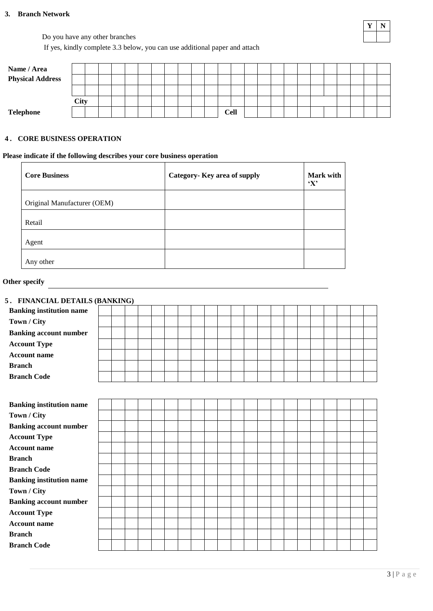#### **3. Branch Network**

Do you have any other branches

If yes, kindly complete 3.3 below, you can use additional paper and attach

| Name / Area             |      |  |  |  |  |  |             |  |  |  |  |  |  |
|-------------------------|------|--|--|--|--|--|-------------|--|--|--|--|--|--|
| <b>Physical Address</b> |      |  |  |  |  |  |             |  |  |  |  |  |  |
|                         |      |  |  |  |  |  |             |  |  |  |  |  |  |
|                         | City |  |  |  |  |  |             |  |  |  |  |  |  |
| Telephone               |      |  |  |  |  |  | <b>Cell</b> |  |  |  |  |  |  |

#### **4 . CORE BUSINESS OPERATION**

#### **Please indicate if the following describes your core business operation**

| <b>Core Business</b>        | Category- Key area of supply | Mark with<br>$\mathbf{Y}^{\prime}$ |
|-----------------------------|------------------------------|------------------------------------|
| Original Manufacturer (OEM) |                              |                                    |
| Retail                      |                              |                                    |
| Agent                       |                              |                                    |
| Any other                   |                              |                                    |

#### **Other specify**

| 5. FINANCIAL DETAILS (BANKING)  |  |  |  |  |  |  |  |  |  |  |
|---------------------------------|--|--|--|--|--|--|--|--|--|--|
| <b>Banking institution name</b> |  |  |  |  |  |  |  |  |  |  |
| Town / City                     |  |  |  |  |  |  |  |  |  |  |
| <b>Banking account number</b>   |  |  |  |  |  |  |  |  |  |  |
| <b>Account Type</b>             |  |  |  |  |  |  |  |  |  |  |
| <b>Account name</b>             |  |  |  |  |  |  |  |  |  |  |
| <b>Branch</b>                   |  |  |  |  |  |  |  |  |  |  |
| <b>Branch Code</b>              |  |  |  |  |  |  |  |  |  |  |
|                                 |  |  |  |  |  |  |  |  |  |  |
| <b>Banking institution name</b> |  |  |  |  |  |  |  |  |  |  |
| Town / City                     |  |  |  |  |  |  |  |  |  |  |
| <b>Banking account number</b>   |  |  |  |  |  |  |  |  |  |  |
| <b>Account Type</b>             |  |  |  |  |  |  |  |  |  |  |
| <b>Account name</b>             |  |  |  |  |  |  |  |  |  |  |
| <b>Branch</b>                   |  |  |  |  |  |  |  |  |  |  |
| <b>Branch Code</b>              |  |  |  |  |  |  |  |  |  |  |
| <b>Banking institution name</b> |  |  |  |  |  |  |  |  |  |  |
| Town / City                     |  |  |  |  |  |  |  |  |  |  |
| <b>Banking account number</b>   |  |  |  |  |  |  |  |  |  |  |
| <b>Account Type</b>             |  |  |  |  |  |  |  |  |  |  |
| <b>Account name</b>             |  |  |  |  |  |  |  |  |  |  |
| <b>Branch</b>                   |  |  |  |  |  |  |  |  |  |  |
| <b>Branch Code</b>              |  |  |  |  |  |  |  |  |  |  |

**Y N**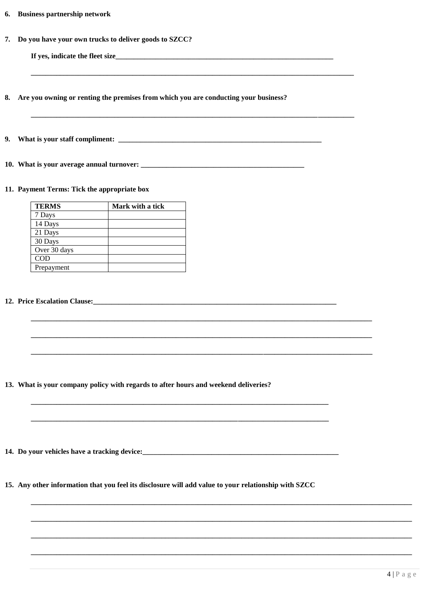| 6. | <b>Business partnership network</b> |  |
|----|-------------------------------------|--|
|    |                                     |  |

7. Do you have your own trucks to deliver goods to SZCC?

If yes, indicate the fleet size

8. Are you owning or renting the premises from which you are conducting your business?

10. What is your average annual turnover:

#### 11. Payment Terms: Tick the appropriate box

| <b>TERMS</b> | Mark with a tick |
|--------------|------------------|
| 7 Days       |                  |
| 14 Days      |                  |
| 21 Days      |                  |
| 30 Days      |                  |
| Over 30 days |                  |
| <b>COD</b>   |                  |
| Prepayment   |                  |

#### 12. Price Escalation Clause:

13. What is your company policy with regards to after hours and weekend deliveries?

14. Do your vehicles have a tracking device:

15. Any other information that you feel its disclosure will add value to your relationship with SZCC